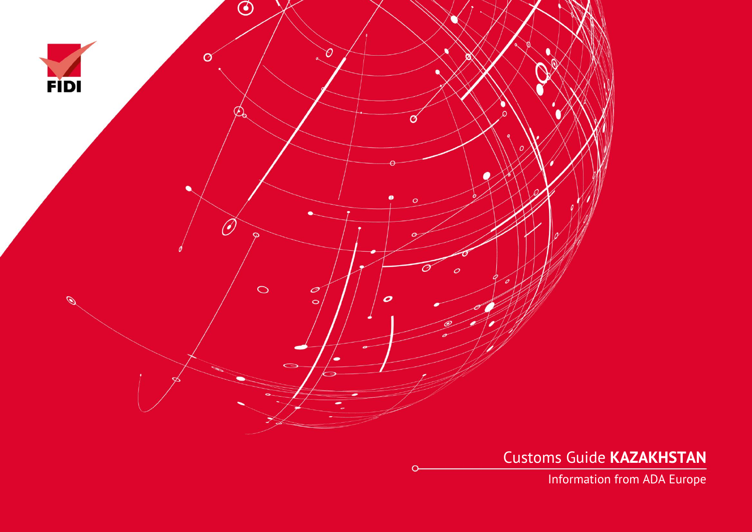

Customs Guide **KAZAKHSTAN**

Information from ADA Europe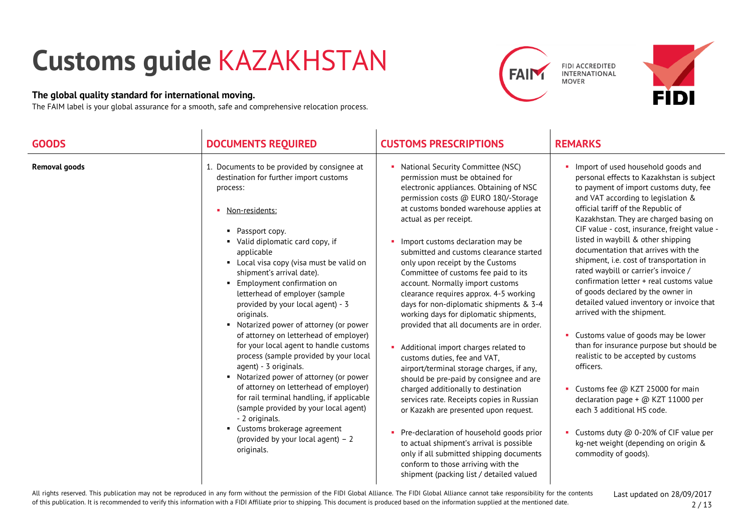# **Customs guide** KAZAKHSTAN

## **The global quality standard for international moving.**

The FAIM label is your global assurance for a smooth, safe and comprehensive relocation process.

 $\sim$ 





| <b>GOODS</b>         | <b>DOCUMENTS REQUIRED</b>                                                                                                                                                                                                                                                                                                                                                                                                                                                                                                                                                                                                                                                                                                                                                                                                                                                  | <b>CUSTOMS PRESCRIPTIONS</b>                                                                                                                                                                                                                                                                                                                                                                                                                                                                                                                                                                                                                                                                                                                                                                                                                                                                                                                                                                                                                                                                                               | <b>REMARKS</b>                                                                                                                                                                                                                                                                                                                                                                                                                                                                                                                                                                                                                                                                                                                                                                                                                                                                                                                                                                             |
|----------------------|----------------------------------------------------------------------------------------------------------------------------------------------------------------------------------------------------------------------------------------------------------------------------------------------------------------------------------------------------------------------------------------------------------------------------------------------------------------------------------------------------------------------------------------------------------------------------------------------------------------------------------------------------------------------------------------------------------------------------------------------------------------------------------------------------------------------------------------------------------------------------|----------------------------------------------------------------------------------------------------------------------------------------------------------------------------------------------------------------------------------------------------------------------------------------------------------------------------------------------------------------------------------------------------------------------------------------------------------------------------------------------------------------------------------------------------------------------------------------------------------------------------------------------------------------------------------------------------------------------------------------------------------------------------------------------------------------------------------------------------------------------------------------------------------------------------------------------------------------------------------------------------------------------------------------------------------------------------------------------------------------------------|--------------------------------------------------------------------------------------------------------------------------------------------------------------------------------------------------------------------------------------------------------------------------------------------------------------------------------------------------------------------------------------------------------------------------------------------------------------------------------------------------------------------------------------------------------------------------------------------------------------------------------------------------------------------------------------------------------------------------------------------------------------------------------------------------------------------------------------------------------------------------------------------------------------------------------------------------------------------------------------------|
| <b>Removal goods</b> | 1. Documents to be provided by consignee at<br>destination for further import customs<br>process:<br>• Non-residents:<br>Passport copy.<br>• Valid diplomatic card copy, if<br>applicable<br>• Local visa copy (visa must be valid on<br>shipment's arrival date).<br>Employment confirmation on<br>letterhead of employer (sample<br>provided by your local agent) - 3<br>originals.<br>• Notarized power of attorney (or power<br>of attorney on letterhead of employer)<br>for your local agent to handle customs<br>process (sample provided by your local<br>agent) - 3 originals.<br>• Notarized power of attorney (or power<br>of attorney on letterhead of employer)<br>for rail terminal handling, if applicable<br>(sample provided by your local agent)<br>- 2 originals.<br>• Customs brokerage agreement<br>(provided by your local agent) $-2$<br>originals. | National Security Committee (NSC)<br>permission must be obtained for<br>electronic appliances. Obtaining of NSC<br>permission costs @ EURO 180/-Storage<br>at customs bonded warehouse applies at<br>actual as per receipt.<br>Import customs declaration may be<br>submitted and customs clearance started<br>only upon receipt by the Customs<br>Committee of customs fee paid to its<br>account. Normally import customs<br>clearance requires approx. 4-5 working<br>days for non-diplomatic shipments & 3-4<br>working days for diplomatic shipments,<br>provided that all documents are in order.<br>Additional import charges related to<br>customs duties, fee and VAT,<br>airport/terminal storage charges, if any,<br>should be pre-paid by consignee and are<br>charged additionally to destination<br>services rate. Receipts copies in Russian<br>or Kazakh are presented upon request.<br>Pre-declaration of household goods prior<br>to actual shipment's arrival is possible<br>only if all submitted shipping documents<br>conform to those arriving with the<br>shipment (packing list / detailed valued | Import of used household goods and<br>personal effects to Kazakhstan is subject<br>to payment of import customs duty, fee<br>and VAT according to legislation &<br>official tariff of the Republic of<br>Kazakhstan. They are charged basing on<br>CIF value - cost, insurance, freight value -<br>listed in waybill & other shipping<br>documentation that arrives with the<br>shipment, i.e. cost of transportation in<br>rated waybill or carrier's invoice /<br>confirmation letter + real customs value<br>of goods declared by the owner in<br>detailed valued inventory or invoice that<br>arrived with the shipment.<br>• Customs value of goods may be lower<br>than for insurance purpose but should be<br>realistic to be accepted by customs<br>officers.<br>• Customs fee @ KZT 25000 for main<br>declaration page + @ KZT 11000 per<br>each 3 additional HS code.<br>• Customs duty @ 0-20% of CIF value per<br>kg-net weight (depending on origin &<br>commodity of goods). |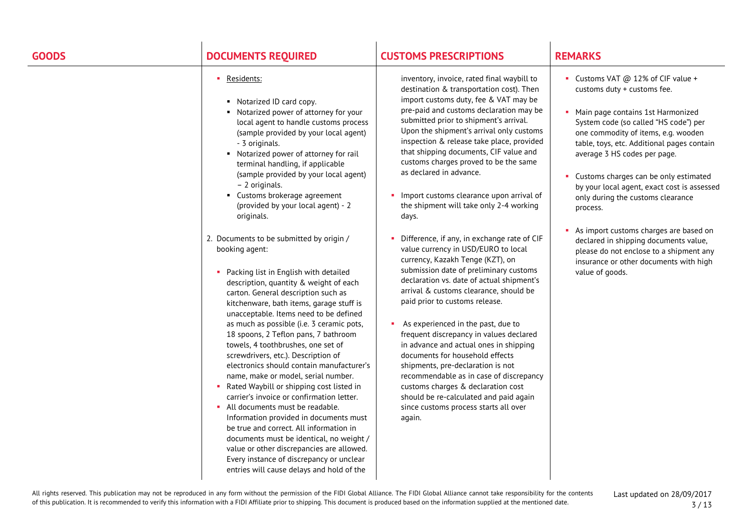# **GOODS DOCUMENTS REQUIRED CUSTOMS PRESCRIPTIONS REMARKS**

### Residents:

- Notarized ID card copy.
- Notarized power of attorney for your local agent to handle customs process (sample provided by your local agent) - 3 originals.
- Notarized power of attorney for rail terminal handling, if applicable (sample provided by your local agent) – 2 originals.
- Customs brokerage agreement (provided by your local agent) - 2 originals.
- 2. Documents to be submitted by origin / booking agent:
	- **Packing list in English with detailed** description, quantity & weight of each carton. General description such as kitchenware, bath items, garage stuff is unacceptable. Items need to be defined as much as possible (i.e. 3 ceramic pots, 18 spoons, 2 Teflon pans, 7 bathroom towels, 4 toothbrushes, one set of screwdrivers, etc.). Description of electronics should contain manufacturer's name, make or model, serial number.
	- **Rated Waybill or shipping cost listed in** carrier's invoice or confirmation letter.
	- **All documents must be readable.** Information provided in documents must be true and correct. All information in documents must be identical, no weight / value or other discrepancies are allowed. Every instance of discrepancy or unclear entries will cause delays and hold of the

inventory, invoice, rated final waybill to destination & transportation cost). Then import customs duty, fee & VAT may be pre-paid and customs declaration may be submitted prior to shipment's arrival. Upon the shipment's arrival only customs inspection & release take place, provided that shipping documents, CIF value and customs charges proved to be the same as declared in advance.

- **Import customs clearance upon arrival of** the shipment will take only 2-4 working days.
- Difference, if any, in exchange rate of CIF value currency in USD/EURO to local currency, Kazakh Tenge (KZT), on submission date of preliminary customs declaration vs. date of actual shipment's arrival & customs clearance, should be paid prior to customs release.
- As experienced in the past, due to frequent discrepancy in values declared in advance and actual ones in shipping documents for household effects shipments, pre-declaration is not recommendable as in case of discrepancy customs charges & declaration cost should be re-calculated and paid again since customs process starts all over again.

- Customs VAT @ 12% of CIF value + customs duty + customs fee.
- Main page contains 1st Harmonized System code (so called "HS code") per one commodity of items, e.g. wooden table, toys, etc. Additional pages contain average 3 HS codes per page.
- Customs charges can be only estimated by your local agent, exact cost is assessed only during the customs clearance process.
- As import customs charges are based on declared in shipping documents value, please do not enclose to a shipment any insurance or other documents with high value of goods.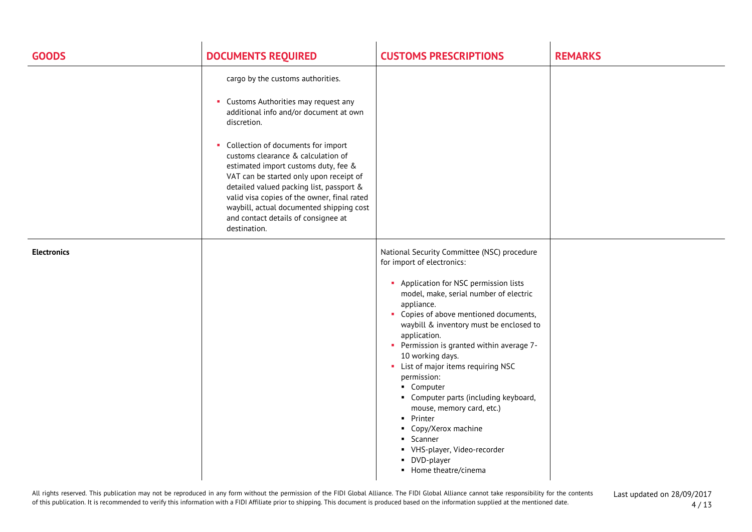| <b>GOODS</b>       | <b>DOCUMENTS REQUIRED</b>                                                                                                                                                                                                                                                                                                                                                                                                                                                                          | <b>CUSTOMS PRESCRIPTIONS</b>                                                                                                                                                                                                                                                                                                                                                                                                                                                                                                                                                                                           | <b>REMARKS</b> |
|--------------------|----------------------------------------------------------------------------------------------------------------------------------------------------------------------------------------------------------------------------------------------------------------------------------------------------------------------------------------------------------------------------------------------------------------------------------------------------------------------------------------------------|------------------------------------------------------------------------------------------------------------------------------------------------------------------------------------------------------------------------------------------------------------------------------------------------------------------------------------------------------------------------------------------------------------------------------------------------------------------------------------------------------------------------------------------------------------------------------------------------------------------------|----------------|
|                    | cargo by the customs authorities.<br>• Customs Authorities may request any<br>additional info and/or document at own<br>discretion.<br>• Collection of documents for import<br>customs clearance & calculation of<br>estimated import customs duty, fee &<br>VAT can be started only upon receipt of<br>detailed valued packing list, passport &<br>valid visa copies of the owner, final rated<br>waybill, actual documented shipping cost<br>and contact details of consignee at<br>destination. |                                                                                                                                                                                                                                                                                                                                                                                                                                                                                                                                                                                                                        |                |
| <b>Electronics</b> |                                                                                                                                                                                                                                                                                                                                                                                                                                                                                                    | National Security Committee (NSC) procedure<br>for import of electronics:<br>• Application for NSC permission lists<br>model, make, serial number of electric<br>appliance.<br>• Copies of above mentioned documents,<br>waybill & inventory must be enclosed to<br>application.<br>• Permission is granted within average 7-<br>10 working days.<br>• List of major items requiring NSC<br>permission:<br>• Computer<br>• Computer parts (including keyboard,<br>mouse, memory card, etc.)<br>• Printer<br>• Copy/Xerox machine<br>• Scanner<br>• VHS-player, Video-recorder<br>• DVD-player<br>• Home theatre/cinema |                |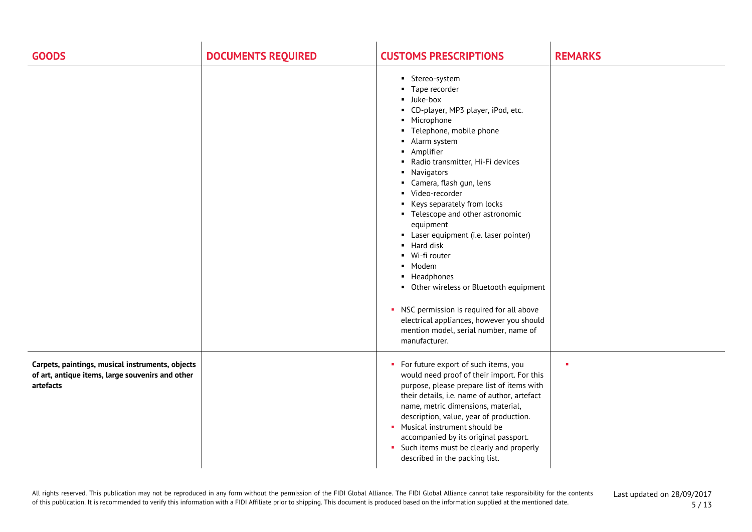| <b>GOODS</b>                                                                                                      | <b>DOCUMENTS REQUIRED</b> | <b>CUSTOMS PRESCRIPTIONS</b>                                                                                                                                                                                                                                                                                                                                                                                                                                                                                                                                                                                                                                                                                                                                      | <b>REMARKS</b> |
|-------------------------------------------------------------------------------------------------------------------|---------------------------|-------------------------------------------------------------------------------------------------------------------------------------------------------------------------------------------------------------------------------------------------------------------------------------------------------------------------------------------------------------------------------------------------------------------------------------------------------------------------------------------------------------------------------------------------------------------------------------------------------------------------------------------------------------------------------------------------------------------------------------------------------------------|----------------|
|                                                                                                                   |                           | • Stereo-system<br>Tape recorder<br>$\blacksquare$<br><b>Juke-box</b><br>• CD-player, MP3 player, iPod, etc.<br>• Microphone<br>• Telephone, mobile phone<br>Alarm system<br>٠<br>• Amplifier<br>Radio transmitter, Hi-Fi devices<br>$\blacksquare$<br>Navigators<br>л.<br>Camera, flash gun, lens<br>л.<br>Video-recorder<br>$\blacksquare$<br>Keys separately from locks<br>$\blacksquare$<br>• Telescope and other astronomic<br>equipment<br>Laser equipment (i.e. laser pointer)<br>• Hard disk<br>Wi-fi router<br>$\blacksquare$<br>• Modem<br>• Headphones<br>• Other wireless or Bluetooth equipment<br>• NSC permission is required for all above<br>electrical appliances, however you should<br>mention model, serial number, name of<br>manufacturer. |                |
| Carpets, paintings, musical instruments, objects<br>of art, antique items, large souvenirs and other<br>artefacts |                           | • For future export of such items, you<br>would need proof of their import. For this<br>purpose, please prepare list of items with<br>their details, i.e. name of author, artefact<br>name, metric dimensions, material,<br>description, value, year of production.<br>• Musical instrument should be<br>accompanied by its original passport.<br>• Such items must be clearly and properly<br>described in the packing list.                                                                                                                                                                                                                                                                                                                                     |                |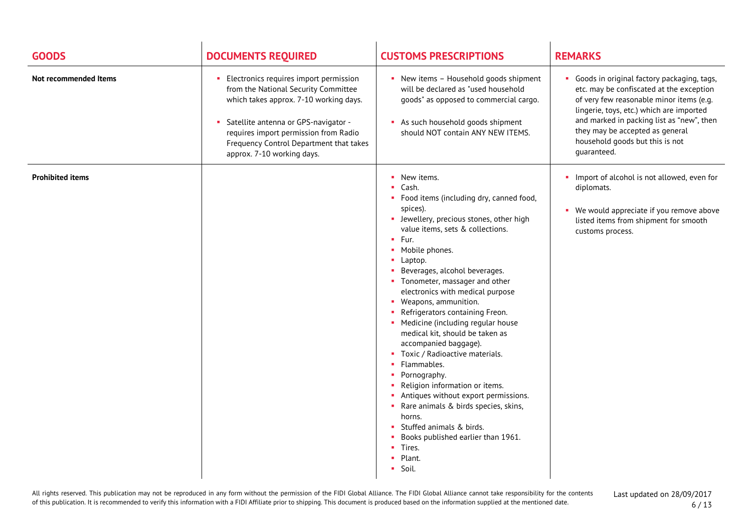| <b>GOODS</b>            | <b>DOCUMENTS REQUIRED</b>                                                                                                                                                                                                                                                            | <b>CUSTOMS PRESCRIPTIONS</b>                                                                                                                                                                                                                                                                                                                                                                                                                                                                                                                                                                                                                                                                                                                                                                             | <b>REMARKS</b>                                                                                                                                                                                                                                                                                                   |
|-------------------------|--------------------------------------------------------------------------------------------------------------------------------------------------------------------------------------------------------------------------------------------------------------------------------------|----------------------------------------------------------------------------------------------------------------------------------------------------------------------------------------------------------------------------------------------------------------------------------------------------------------------------------------------------------------------------------------------------------------------------------------------------------------------------------------------------------------------------------------------------------------------------------------------------------------------------------------------------------------------------------------------------------------------------------------------------------------------------------------------------------|------------------------------------------------------------------------------------------------------------------------------------------------------------------------------------------------------------------------------------------------------------------------------------------------------------------|
| Not recommended Items   | Electronics requires import permission<br>from the National Security Committee<br>which takes approx. 7-10 working days.<br>• Satellite antenna or GPS-navigator -<br>requires import permission from Radio<br>Frequency Control Department that takes<br>approx. 7-10 working days. | • New items - Household goods shipment<br>will be declared as "used household<br>goods" as opposed to commercial cargo.<br>As such household goods shipment<br>should NOT contain ANY NEW ITEMS.                                                                                                                                                                                                                                                                                                                                                                                                                                                                                                                                                                                                         | Goods in original factory packaging, tags,<br>etc. may be confiscated at the exception<br>of very few reasonable minor items (e.g.<br>lingerie, toys, etc.) which are imported<br>and marked in packing list as "new", then<br>they may be accepted as general<br>household goods but this is not<br>guaranteed. |
| <b>Prohibited items</b> |                                                                                                                                                                                                                                                                                      | • New items.<br>Cash.<br>Food items (including dry, canned food,<br>spices).<br>• Jewellery, precious stones, other high<br>value items, sets & collections.<br>$-$ Fur.<br>• Mobile phones.<br>$\blacksquare$ Laptop.<br>Beverages, alcohol beverages.<br>• Tonometer, massager and other<br>electronics with medical purpose<br>• Weapons, ammunition.<br>Refrigerators containing Freon.<br>• Medicine (including regular house<br>medical kit, should be taken as<br>accompanied baggage).<br>Toxic / Radioactive materials.<br>Flammables.<br>• Pornography.<br>• Religion information or items.<br>Antiques without export permissions.<br>• Rare animals & birds species, skins,<br>horns.<br>Stuffed animals & birds.<br>Books published earlier than 1961.<br>• Tires.<br>Plant.<br>۰.<br>Soil. | Import of alcohol is not allowed, even for<br>diplomats.<br>We would appreciate if you remove above<br>listed items from shipment for smooth<br>customs process.                                                                                                                                                 |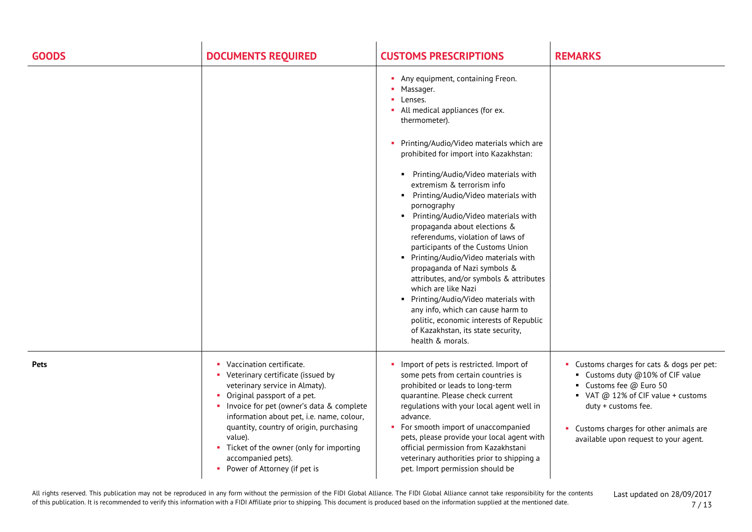| <b>GOODS</b> | <b>DOCUMENTS REQUIRED</b>                                                                                                                                                                                                                                                                                                                                                                  | <b>CUSTOMS PRESCRIPTIONS</b>                                                                                                                                                                                                                                                                                                                                                                                                                                                                                                                                                                                                                                                                                                                                                                                               | <b>REMARKS</b>                                                                                                                                                                                                                                             |
|--------------|--------------------------------------------------------------------------------------------------------------------------------------------------------------------------------------------------------------------------------------------------------------------------------------------------------------------------------------------------------------------------------------------|----------------------------------------------------------------------------------------------------------------------------------------------------------------------------------------------------------------------------------------------------------------------------------------------------------------------------------------------------------------------------------------------------------------------------------------------------------------------------------------------------------------------------------------------------------------------------------------------------------------------------------------------------------------------------------------------------------------------------------------------------------------------------------------------------------------------------|------------------------------------------------------------------------------------------------------------------------------------------------------------------------------------------------------------------------------------------------------------|
|              |                                                                                                                                                                                                                                                                                                                                                                                            | • Any equipment, containing Freon.<br>• Massager.<br>• Lenses.<br>• All medical appliances (for ex.<br>thermometer).<br>• Printing/Audio/Video materials which are<br>prohibited for import into Kazakhstan:<br>• Printing/Audio/Video materials with<br>extremism & terrorism info<br>Printing/Audio/Video materials with<br>pornography<br>• Printing/Audio/Video materials with<br>propaganda about elections &<br>referendums, violation of laws of<br>participants of the Customs Union<br>• Printing/Audio/Video materials with<br>propaganda of Nazi symbols &<br>attributes, and/or symbols & attributes<br>which are like Nazi<br>• Printing/Audio/Video materials with<br>any info, which can cause harm to<br>politic, economic interests of Republic<br>of Kazakhstan, its state security,<br>health & morals. |                                                                                                                                                                                                                                                            |
| <b>Pets</b>  | • Vaccination certificate.<br>• Veterinary certificate (issued by<br>veterinary service in Almaty).<br>• Original passport of a pet.<br>• Invoice for pet (owner's data & complete<br>information about pet, i.e. name, colour,<br>quantity, country of origin, purchasing<br>value).<br>• Ticket of the owner (only for importing<br>accompanied pets).<br>• Power of Attorney (if pet is | Import of pets is restricted. Import of<br>some pets from certain countries is<br>prohibited or leads to long-term<br>quarantine. Please check current<br>regulations with your local agent well in<br>advance.<br>• For smooth import of unaccompanied<br>pets, please provide your local agent with<br>official permission from Kazakhstani<br>veterinary authorities prior to shipping a<br>pet. Import permission should be                                                                                                                                                                                                                                                                                                                                                                                            | • Customs charges for cats & dogs per pet:<br>• Customs duty @10% of CIF value<br>• Customs fee @ Euro 50<br>• VAT @ 12% of CIF value + customs<br>duty + customs fee.<br>• Customs charges for other animals are<br>available upon request to your agent. |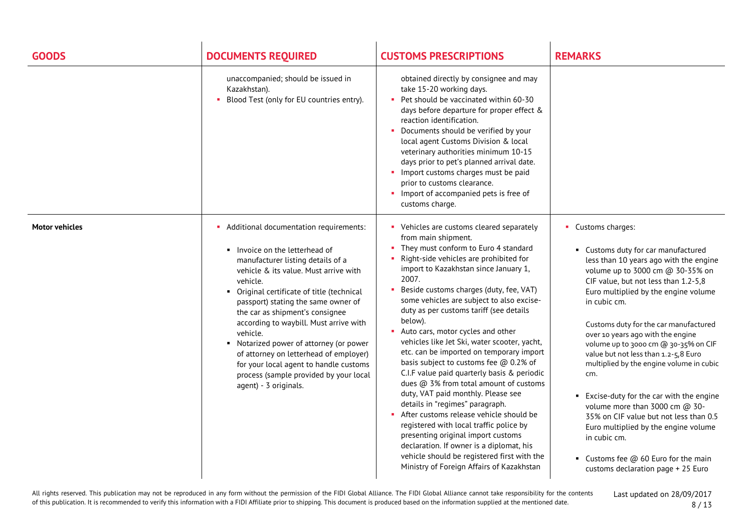| <b>GOODS</b>          | <b>DOCUMENTS REQUIRED</b>                                                                                                                                                                                                                                                                                                                                                                                                                                                                                                                          | <b>CUSTOMS PRESCRIPTIONS</b>                                                                                                                                                                                                                                                                                                                                                                                                                                                                                                                                                                                                                                                                                                                                                                                                                                                                                                                                          | <b>REMARKS</b>                                                                                                                                                                                                                                                                                                                                                                                                                                                                                                                                                                                                                                                                                                            |
|-----------------------|----------------------------------------------------------------------------------------------------------------------------------------------------------------------------------------------------------------------------------------------------------------------------------------------------------------------------------------------------------------------------------------------------------------------------------------------------------------------------------------------------------------------------------------------------|-----------------------------------------------------------------------------------------------------------------------------------------------------------------------------------------------------------------------------------------------------------------------------------------------------------------------------------------------------------------------------------------------------------------------------------------------------------------------------------------------------------------------------------------------------------------------------------------------------------------------------------------------------------------------------------------------------------------------------------------------------------------------------------------------------------------------------------------------------------------------------------------------------------------------------------------------------------------------|---------------------------------------------------------------------------------------------------------------------------------------------------------------------------------------------------------------------------------------------------------------------------------------------------------------------------------------------------------------------------------------------------------------------------------------------------------------------------------------------------------------------------------------------------------------------------------------------------------------------------------------------------------------------------------------------------------------------------|
|                       | unaccompanied; should be issued in<br>Kazakhstan).<br>Blood Test (only for EU countries entry).                                                                                                                                                                                                                                                                                                                                                                                                                                                    | obtained directly by consignee and may<br>take 15-20 working days.<br>Pet should be vaccinated within 60-30<br>days before departure for proper effect &<br>reaction identification.<br>• Documents should be verified by your<br>local agent Customs Division & local<br>veterinary authorities minimum 10-15<br>days prior to pet's planned arrival date.<br>Import customs charges must be paid<br>prior to customs clearance.<br>Import of accompanied pets is free of<br>customs charge.                                                                                                                                                                                                                                                                                                                                                                                                                                                                         |                                                                                                                                                                                                                                                                                                                                                                                                                                                                                                                                                                                                                                                                                                                           |
| <b>Motor vehicles</b> | • Additional documentation requirements:<br>Invoice on the letterhead of<br>manufacturer listing details of a<br>vehicle & its value. Must arrive with<br>vehicle.<br>• Original certificate of title (technical<br>passport) stating the same owner of<br>the car as shipment's consignee<br>according to waybill. Must arrive with<br>vehicle.<br>• Notarized power of attorney (or power<br>of attorney on letterhead of employer)<br>for your local agent to handle customs<br>process (sample provided by your local<br>agent) - 3 originals. | • Vehicles are customs cleared separately<br>from main shipment.<br>• They must conform to Euro 4 standard<br>Right-side vehicles are prohibited for<br>import to Kazakhstan since January 1,<br>2007.<br>Beside customs charges (duty, fee, VAT)<br>some vehicles are subject to also excise-<br>duty as per customs tariff (see details<br>below).<br>Auto cars, motor cycles and other<br>vehicles like Jet Ski, water scooter, yacht,<br>etc. can be imported on temporary import<br>basis subject to customs fee @ 0.2% of<br>C.I.F value paid quarterly basis & periodic<br>dues @ 3% from total amount of customs<br>duty, VAT paid monthly. Please see<br>details in "regimes" paragraph.<br>After customs release vehicle should be<br>registered with local traffic police by<br>presenting original import customs<br>declaration. If owner is a diplomat, his<br>vehicle should be registered first with the<br>Ministry of Foreign Affairs of Kazakhstan | • Customs charges:<br>• Customs duty for car manufactured<br>less than 10 years ago with the engine<br>volume up to 3000 cm @ 30-35% on<br>CIF value, but not less than 1.2-5,8<br>Euro multiplied by the engine volume<br>in cubic cm.<br>Customs duty for the car manufactured<br>over 10 years ago with the engine<br>volume up to 3000 cm @ 30-35% on CIF<br>value but not less than 1.2-5,8 Euro<br>multiplied by the engine volume in cubic<br>cm.<br>■ Excise-duty for the car with the engine<br>volume more than 3000 cm @ 30-<br>35% on CIF value but not less than 0.5<br>Euro multiplied by the engine volume<br>in cubic cm.<br>■ Customs fee $@$ 60 Euro for the main<br>customs declaration page + 25 Euro |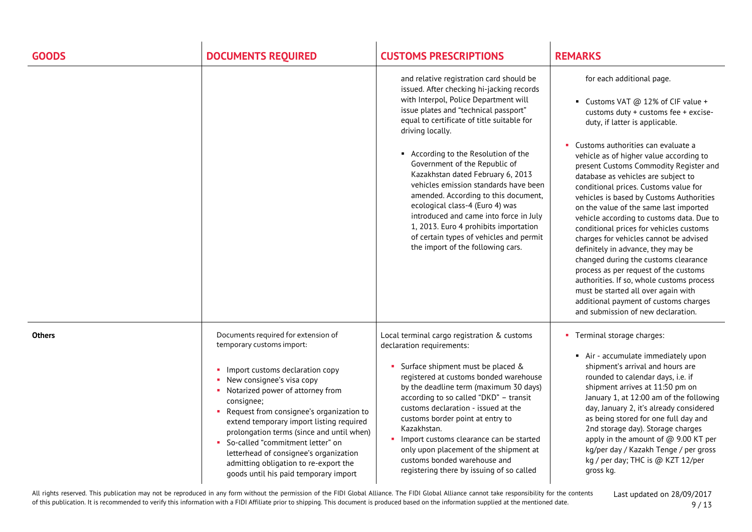| <b>GOODS</b>  | <b>DOCUMENTS REQUIRED</b>                                                                                                                                                                                                                                                                                                                                                                                                                                                                         | <b>CUSTOMS PRESCRIPTIONS</b>                                                                                                                                                                                                                                                                                                                                                                                                                                                                                                                                                                                                                   | <b>REMARKS</b>                                                                                                                                                                                                                                                                                                                                                                                                                                                                                                                                                                                                                                                                                                                                                                                                                                                         |
|---------------|---------------------------------------------------------------------------------------------------------------------------------------------------------------------------------------------------------------------------------------------------------------------------------------------------------------------------------------------------------------------------------------------------------------------------------------------------------------------------------------------------|------------------------------------------------------------------------------------------------------------------------------------------------------------------------------------------------------------------------------------------------------------------------------------------------------------------------------------------------------------------------------------------------------------------------------------------------------------------------------------------------------------------------------------------------------------------------------------------------------------------------------------------------|------------------------------------------------------------------------------------------------------------------------------------------------------------------------------------------------------------------------------------------------------------------------------------------------------------------------------------------------------------------------------------------------------------------------------------------------------------------------------------------------------------------------------------------------------------------------------------------------------------------------------------------------------------------------------------------------------------------------------------------------------------------------------------------------------------------------------------------------------------------------|
|               |                                                                                                                                                                                                                                                                                                                                                                                                                                                                                                   | and relative registration card should be<br>issued. After checking hi-jacking records<br>with Interpol, Police Department will<br>issue plates and "technical passport"<br>equal to certificate of title suitable for<br>driving locally.<br>■ According to the Resolution of the<br>Government of the Republic of<br>Kazakhstan dated February 6, 2013<br>vehicles emission standards have been<br>amended. According to this document,<br>ecological class-4 (Euro 4) was<br>introduced and came into force in July<br>1, 2013. Euro 4 prohibits importation<br>of certain types of vehicles and permit<br>the import of the following cars. | for each additional page.<br>■ Customs VAT @ 12% of CIF value +<br>customs duty + customs fee + excise-<br>duty, if latter is applicable.<br>Customs authorities can evaluate a<br>vehicle as of higher value according to<br>present Customs Commodity Register and<br>database as vehicles are subject to<br>conditional prices. Customs value for<br>vehicles is based by Customs Authorities<br>on the value of the same last imported<br>vehicle according to customs data. Due to<br>conditional prices for vehicles customs<br>charges for vehicles cannot be advised<br>definitely in advance, they may be<br>changed during the customs clearance<br>process as per request of the customs<br>authorities. If so, whole customs process<br>must be started all over again with<br>additional payment of customs charges<br>and submission of new declaration. |
| <b>Others</b> | Documents required for extension of<br>temporary customs import:<br>• Import customs declaration copy<br>• New consignee's visa copy<br>• Notarized power of attorney from<br>consignee;<br>• Request from consignee's organization to<br>extend temporary import listing required<br>prolongation terms (since and until when)<br>• So-called "commitment letter" on<br>letterhead of consignee's organization<br>admitting obligation to re-export the<br>goods until his paid temporary import | Local terminal cargo registration & customs<br>declaration requirements:<br>• Surface shipment must be placed &<br>registered at customs bonded warehouse<br>by the deadline term (maximum 30 days)<br>according to so called "DKD" - transit<br>customs declaration - issued at the<br>customs border point at entry to<br>Kazakhstan.<br>Import customs clearance can be started<br>only upon placement of the shipment at<br>customs bonded warehouse and<br>registering there by issuing of so called                                                                                                                                      | • Terminal storage charges:<br>Air - accumulate immediately upon<br>shipment's arrival and hours are<br>rounded to calendar days, i.e. if<br>shipment arrives at 11:50 pm on<br>January 1, at 12:00 am of the following<br>day, January 2, it's already considered<br>as being stored for one full day and<br>2nd storage day). Storage charges<br>apply in the amount of @ 9.00 KT per<br>kg/per day / Kazakh Tenge / per gross<br>kg / per day; THC is @ KZT 12/per<br>gross kg.                                                                                                                                                                                                                                                                                                                                                                                     |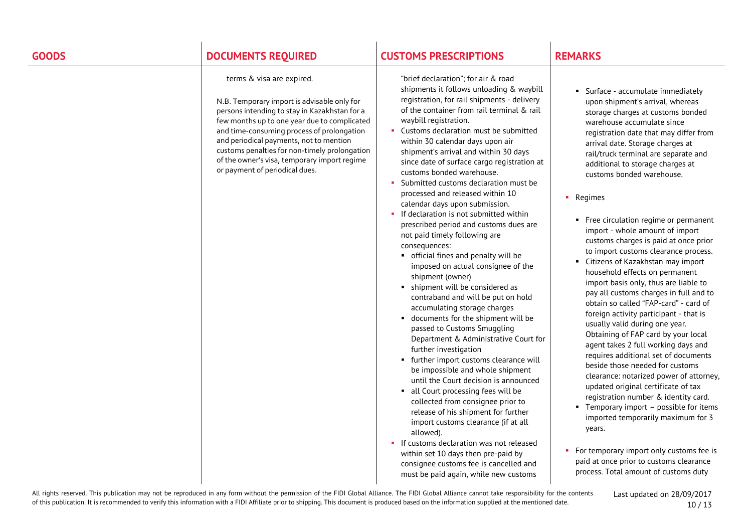# **GOODS DOCUMENTS REQUIRED CUSTOMS PRESCRIPTIONS REMARKS**

### terms & visa are expired.

N.B. Temporary import is advisable only for persons intending to stay in Kazakhstan for a few months up to one year due to complicated and time-consuming process of prolongation and periodical payments, not to mention customs penalties for non-timely prolongation of the owner's visa, temporary import regime or payment of periodical dues.

"brief declaration"; for air & road shipments it follows unloading & waybill registration, for rail shipments - delivery of the container from rail terminal & rail waybill registration.

- **Customs declaration must be submitted** within 30 calendar days upon air shipment's arrival and within 30 days since date of surface cargo registration at customs bonded warehouse.
- Submitted customs declaration must be processed and released within 10 calendar days upon submission.
- $\blacksquare$  If declaration is not submitted within prescribed period and customs dues are not paid timely following are consequences:
	- official fines and penalty will be imposed on actual consignee of the shipment (owner)
	- shipment will be considered as contraband and will be put on hold accumulating storage charges
	- documents for the shipment will be passed to Customs Smuggling Department & Administrative Court for further investigation
	- **further import customs clearance will** be impossible and whole shipment until the Court decision is announced
	- all Court processing fees will be collected from consignee prior to release of his shipment for further import customs clearance (if at all allowed).
- **If customs declaration was not released** within set 10 days then pre-paid by consignee customs fee is cancelled and must be paid again, while new customs

 Surface - accumulate immediately upon shipment's arrival, whereas storage charges at customs bonded warehouse accumulate since registration date that may differ from arrival date. Storage charges at rail/truck terminal are separate and additional to storage charges at customs bonded warehouse.

### • Regimes

- Free circulation regime or permanent import - whole amount of import customs charges is paid at once prior to import customs clearance process.
- Citizens of Kazakhstan may import household effects on permanent import basis only, thus are liable to pay all customs charges in full and to obtain so called "FAP-card" - card of foreign activity participant - that is usually valid during one year. Obtaining of FAP card by your local agent takes 2 full working days and requires additional set of documents beside those needed for customs clearance: notarized power of attorney, updated original certificate of tax registration number & identity card.
- **Temporary import possible for items** imported temporarily maximum for 3 years.
- For temporary import only customs fee is paid at once prior to customs clearance process. Total amount of customs duty

All rights reserved. This publication may not be reproduced in any form without the permission of the FIDI Global Alliance. The FIDI Global Alliance cannot take responsibility for the contents of this publication. It is recommended to verify this information with a FIDI Affiliate prior to shipping. This document is produced based on the information supplied at the mentioned date.

Last updated on 28/09/2017 10 / 13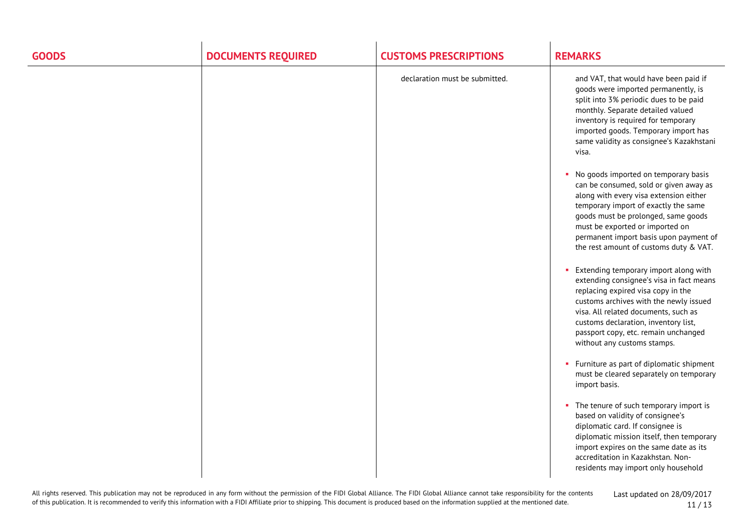| <b>GOODS</b> | <b>DOCUMENTS REQUIRED</b> | <b>CUSTOMS PRESCRIPTIONS</b>   | <b>REMARKS</b>                                                                                                                                                                                                                                                                                                                 |
|--------------|---------------------------|--------------------------------|--------------------------------------------------------------------------------------------------------------------------------------------------------------------------------------------------------------------------------------------------------------------------------------------------------------------------------|
|              |                           | declaration must be submitted. | and VAT, that would have been paid if<br>goods were imported permanently, is<br>split into 3% periodic dues to be paid<br>monthly. Separate detailed valued<br>inventory is required for temporary<br>imported goods. Temporary import has<br>same validity as consignee's Kazakhstani<br>visa.                                |
|              |                           |                                | No goods imported on temporary basis<br>can be consumed, sold or given away as<br>along with every visa extension either<br>temporary import of exactly the same<br>goods must be prolonged, same goods<br>must be exported or imported on<br>permanent import basis upon payment of<br>the rest amount of customs duty & VAT. |
|              |                           |                                | Extending temporary import along with<br>extending consignee's visa in fact means<br>replacing expired visa copy in the<br>customs archives with the newly issued<br>visa. All related documents, such as<br>customs declaration, inventory list,<br>passport copy, etc. remain unchanged<br>without any customs stamps.       |
|              |                           |                                | • Furniture as part of diplomatic shipment<br>must be cleared separately on temporary<br>import basis.                                                                                                                                                                                                                         |
|              |                           |                                | • The tenure of such temporary import is<br>based on validity of consignee's<br>diplomatic card. If consignee is<br>diplomatic mission itself, then temporary<br>import expires on the same date as its<br>accreditation in Kazakhstan. Non-<br>residents may import only household                                            |

All rights reserved. This publication may not be reproduced in any form without the permission of the FIDI Global Alliance. The FIDI Global Alliance cannot take responsibility for the contents of this publication. It is recommended to verify this information with a FIDI Affiliate prior to shipping. This document is produced based on the information supplied at the mentioned date.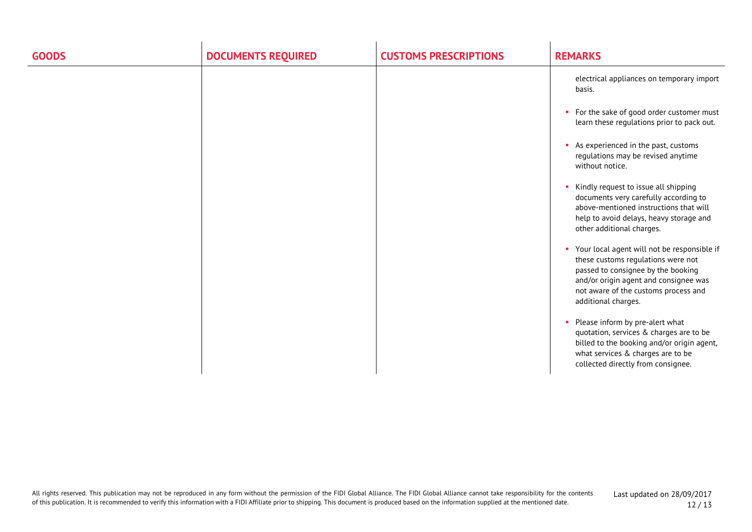| <b>GOODS</b> | <b>DOCUMENTS REQUIRED</b> | <b>CUSTOMS PRESCRIPTIONS</b> | <b>REMARKS</b>                                                                                                                                                                                                                    |
|--------------|---------------------------|------------------------------|-----------------------------------------------------------------------------------------------------------------------------------------------------------------------------------------------------------------------------------|
|              |                           |                              | electrical appliances on temporary import<br>basis.                                                                                                                                                                               |
|              |                           |                              | • For the sake of good order customer must<br>learn these regulations prior to pack out.                                                                                                                                          |
|              |                           |                              | As experienced in the past, customs<br>regulations may be revised anytime<br>without notice.                                                                                                                                      |
|              |                           |                              | Kindly request to issue all shipping<br>documents very carefully according to<br>above-mentioned instructions that will<br>help to avoid delays, heavy storage and<br>other additional charges.                                   |
|              |                           |                              | • Your local agent will not be responsible if<br>these customs regulations were not<br>passed to consignee by the booking<br>and/or origin agent and consignee was<br>not aware of the customs process and<br>additional charges. |
|              |                           |                              | Please inform by pre-alert what<br>٠<br>quotation, services & charges are to be<br>billed to the booking and/or origin agent,<br>what services & charges are to be<br>collected directly from consignee.                          |